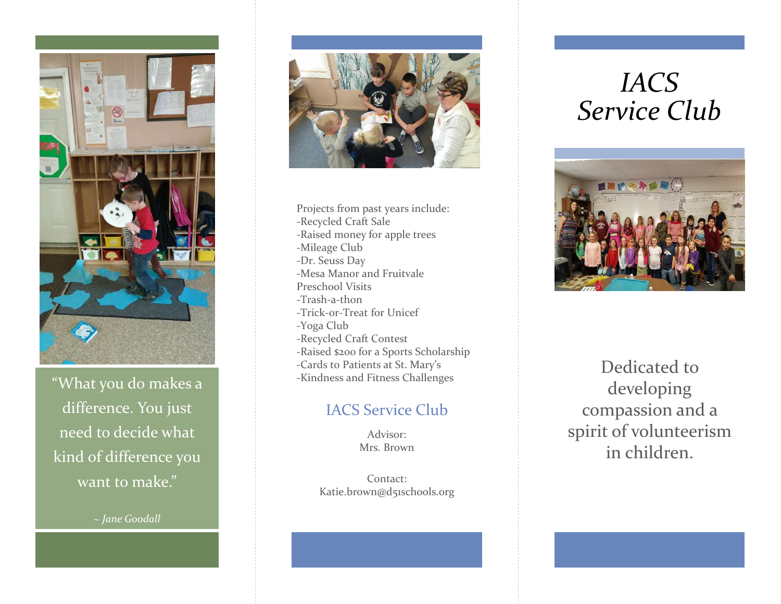

"What you do makes a difference. You just need to decide what kind of difference you want to make."

*~ Jane Goodall*



Projects from past years include: -Recycled Craft Sale -Raised money for apple trees -Mileage Club -Dr. Seuss Day -Mesa Manor and Fruitvale Preschool Visits -Trash-a-thon -Trick-or-Treat for Unicef -Yoga Club -Recycled Craft Contest -Raised \$200 for a Sports Scholarship -Cards to Patients at St. Mary's -Kindness and Fitness Challenges

## IACS Service Club

Advisor: Mrs. Brown

Contact: Katie.brown@d51schools.org

# *IACS Service Club*



Dedicated to developing compassion and a spirit of volunteerism in children.